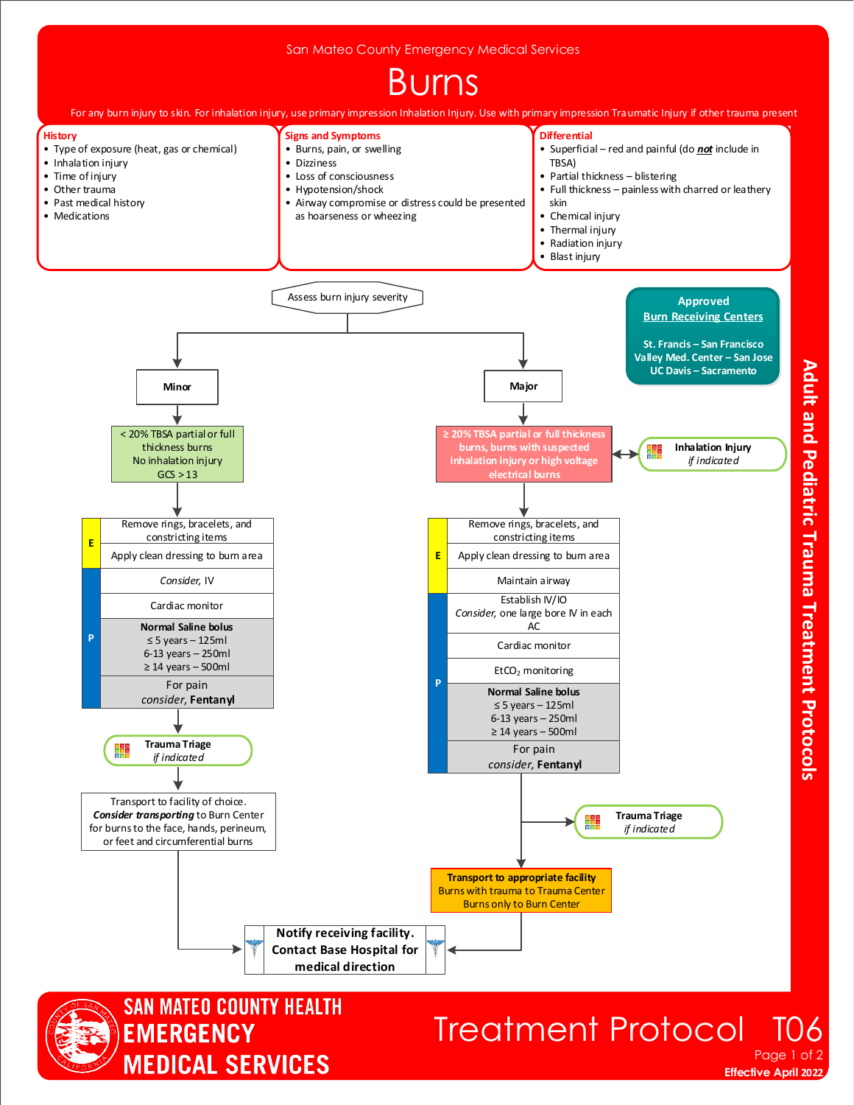



## Treatment Protocol Page 1 of

**Effective April 2022** 

Adult and Pediatric Trauma Treatment Protocols